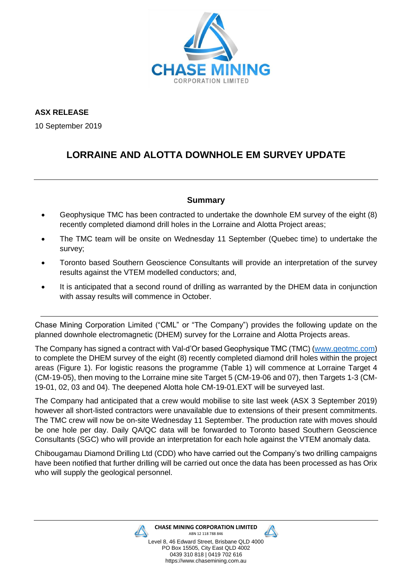

**ASX RELEASE**

10 September 2019

## **LORRAINE AND ALOTTA DOWNHOLE EM SURVEY UPDATE**

## **Summary**

- Geophysique TMC has been contracted to undertake the downhole EM survey of the eight (8) recently completed diamond drill holes in the Lorraine and Alotta Project areas;
- The TMC team will be onsite on Wednesday 11 September (Quebec time) to undertake the survey;
- Toronto based Southern Geoscience Consultants will provide an interpretation of the survey results against the VTEM modelled conductors; and,
- It is anticipated that a second round of drilling as warranted by the DHEM data in conjunction with assay results will commence in October.

Chase Mining Corporation Limited ("CML" or "The Company") provides the following update on the planned downhole electromagnetic (DHEM) survey for the Lorraine and Alotta Projects areas.

The Company has signed a contract with Val-d'Or based Geophysique TMC (TMC) [\(www.geotmc.com\)](http://www.geotmc.com/) to complete the DHEM survey of the eight (8) recently completed diamond drill holes within the project areas (Figure 1). For logistic reasons the programme (Table 1) will commence at Lorraine Target 4 (CM-19-05), then moving to the Lorraine mine site Target 5 (CM-19-06 and 07), then Targets 1-3 (CM-19-01, 02, 03 and 04). The deepened Alotta hole CM-19-01.EXT will be surveyed last.

The Company had anticipated that a crew would mobilise to site last week (ASX 3 September 2019) however all short-listed contractors were unavailable due to extensions of their present commitments. The TMC crew will now be on-site Wednesday 11 September. The production rate with moves should be one hole per day. Daily QA/QC data will be forwarded to Toronto based Southern Geoscience Consultants (SGC) who will provide an interpretation for each hole against the VTEM anomaly data.

Chibougamau Diamond Drilling Ltd (CDD) who have carried out the Company's two drilling campaigns have been notified that further drilling will be carried out once the data has been processed as has Orix who will supply the geological personnel.



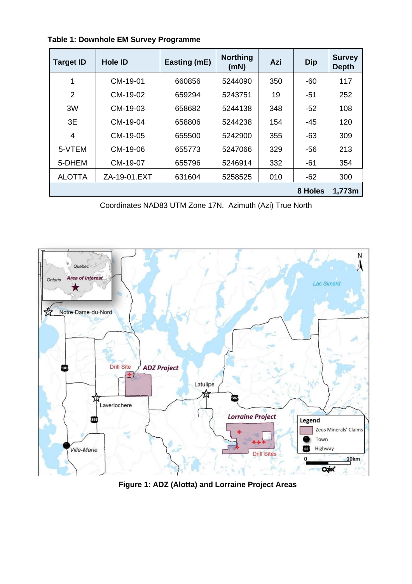| <b>Target ID</b> | <b>Hole ID</b> | Easting (mE) | <b>Northing</b><br>(mN) | Azi | <b>Dip</b> | <b>Survey</b><br><b>Depth</b> |
|------------------|----------------|--------------|-------------------------|-----|------------|-------------------------------|
| 1                | CM-19-01       | 660856       | 5244090                 | 350 | -60        | 117                           |
| 2                | CM-19-02       | 659294       | 5243751                 | 19  | -51        | 252                           |
| 3W               | CM-19-03       | 658682       | 5244138                 | 348 | -52        | 108                           |
| 3E               | CM-19-04       | 658806       | 5244238                 | 154 | -45        | 120                           |
| 4                | CM-19-05       | 655500       | 5242900                 | 355 | -63        | 309                           |
| 5-VTEM           | CM-19-06       | 655773       | 5247066                 | 329 | -56        | 213                           |
| 5-DHEM           | CM-19-07       | 655796       | 5246914                 | 332 | $-61$      | 354                           |
| <b>ALOTTA</b>    | ZA-19-01.EXT   | 631604       | 5258525                 | 010 | $-62$      | 300                           |
|                  |                |              |                         |     | 8 Holes    | 1,773m                        |

 **Table 1: Downhole EM Survey Programme**

Coordinates NAD83 UTM Zone 17N. Azimuth (Azi) True North



**Figure 1: ADZ (Alotta) and Lorraine Project Areas**